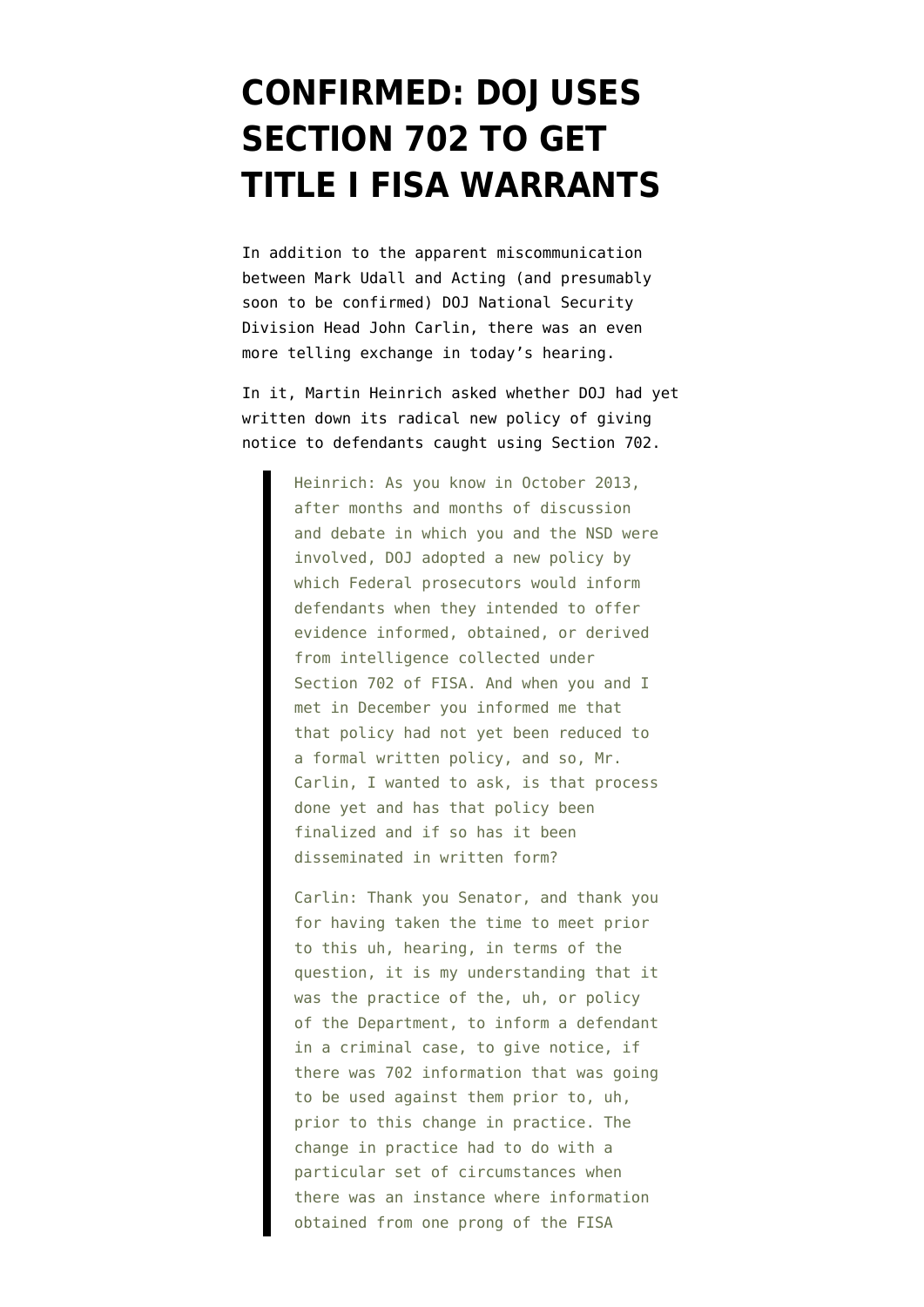## **[CONFIRMED: DOJ USES](https://www.emptywheel.net/2014/02/25/confirmed-doj-uses-section-702-to-get-title-i-fisa-warrants/) [SECTION 702 TO GET](https://www.emptywheel.net/2014/02/25/confirmed-doj-uses-section-702-to-get-title-i-fisa-warrants/) [TITLE I FISA WARRANTS](https://www.emptywheel.net/2014/02/25/confirmed-doj-uses-section-702-to-get-title-i-fisa-warrants/)**

In addition to the [apparent miscommunication](http://www.emptywheel.net/2014/02/25/does-acting-national-security-division-head-john-carlin-know-about-fisa-sections-703-and-704/) between Mark Udall and Acting (and presumably soon to be confirmed) DOJ National Security Division Head John Carlin, there was an even more telling exchange in today's hearing.

In it, Martin Heinrich asked whether DOJ had yet written down its radical new policy of giving notice to defendants caught using Section 702.

> Heinrich: As you know in October 2013, after months and months of discussion and debate in which you and the NSD were involved, DOJ adopted a new policy by which Federal prosecutors would inform defendants when they intended to offer evidence informed, obtained, or derived from intelligence collected under Section 702 of FISA. And when you and I met in December you informed me that that policy had not yet been reduced to a formal written policy, and so, Mr. Carlin, I wanted to ask, is that process done yet and has that policy been finalized and if so has it been disseminated in written form?

> Carlin: Thank you Senator, and thank you for having taken the time to meet prior to this uh, hearing, in terms of the question, it is my understanding that it was the practice of the, uh, or policy of the Department, to inform a defendant in a criminal case, to give notice, if there was 702 information that was going to be used against them prior to, uh, prior to this change in practice. The change in practice had to do with a particular set of circumstances when there was an instance where information obtained from one prong of the FISA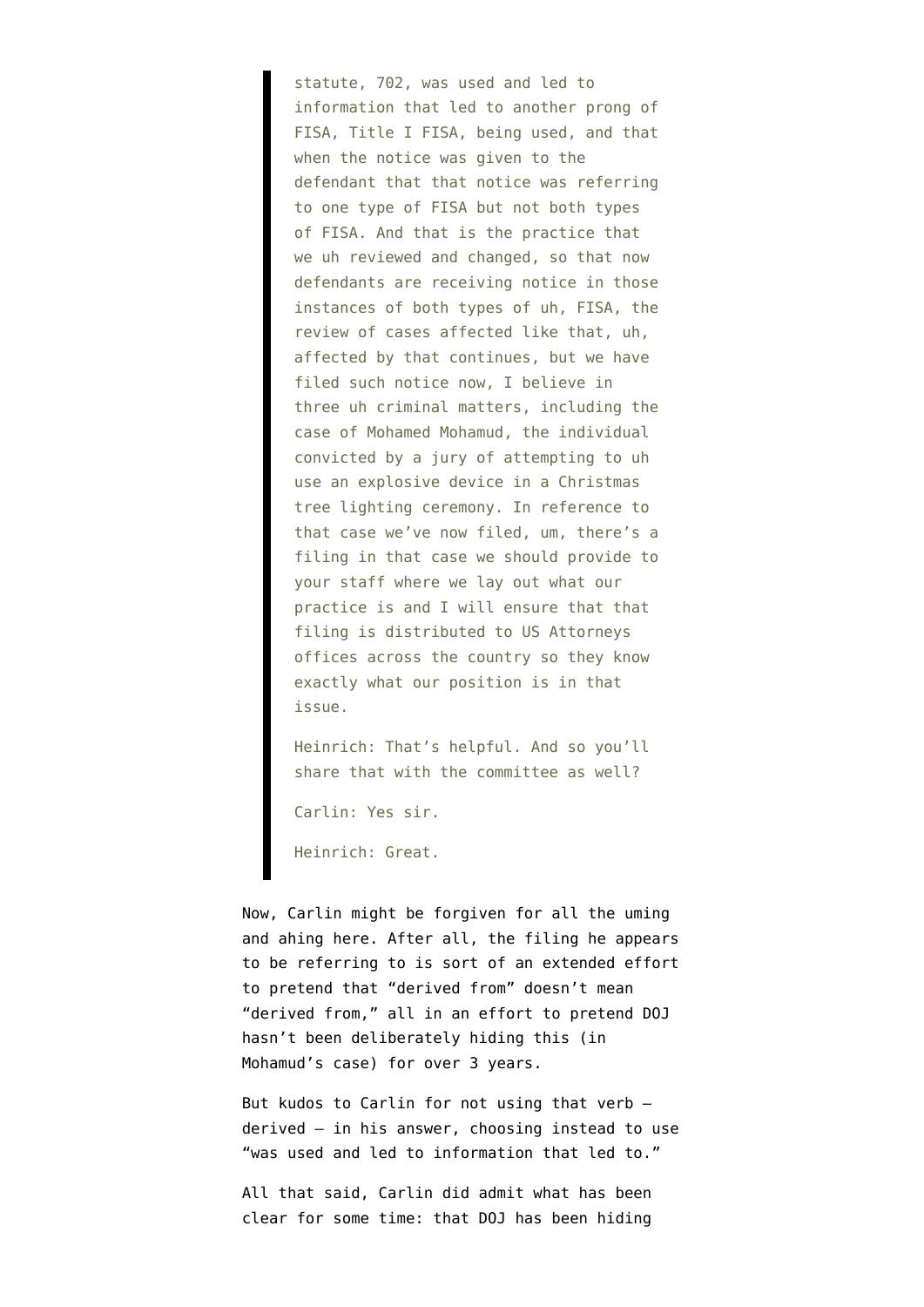statute, 702, was used and led to information that led to another prong of FISA, Title I FISA, being used, and that when the notice was given to the defendant that that notice was referring to one type of FISA but not both types of FISA. And that is the practice that we uh reviewed and changed, so that now defendants are receiving notice in those instances of both types of uh, FISA, the review of cases affected like that, uh, affected by that continues, but we have filed such notice now, I believe in three uh criminal matters, including the case of Mohamed Mohamud, the individual convicted by a jury of attempting to uh use an explosive device in a Christmas tree lighting ceremony. In reference to that case we've now filed, um, there's a filing in that case we should provide to your staff where we lay out what our practice is and I will ensure that that filing is distributed to US Attorneys offices across the country so they know exactly what our position is in that issue.

Heinrich: That's helpful. And so you'll share that with the committee as well?

Carlin: Yes sir.

Heinrich: Great.

Now, Carlin might be forgiven for all the uming and ahing here. After all, the [filing](http://legaltimes.typepad.com/files/oregon-fisa.pdf) he appears to be referring to is sort of an extended effort to pretend that "[derived from](http://www.emptywheel.net/2014/02/14/todays-nsa-related-orwellianism-derived-from/)" doesn't mean "derived from," all in an effort to pretend DOJ hasn't been deliberately hiding this (in Mohamud's case) for over 3 years.

But kudos to Carlin for not using that verb derived — in his answer, choosing instead to use "was used and led to information that led to."

All that said, Carlin did admit what has been clear for some time: that DOJ has been hiding